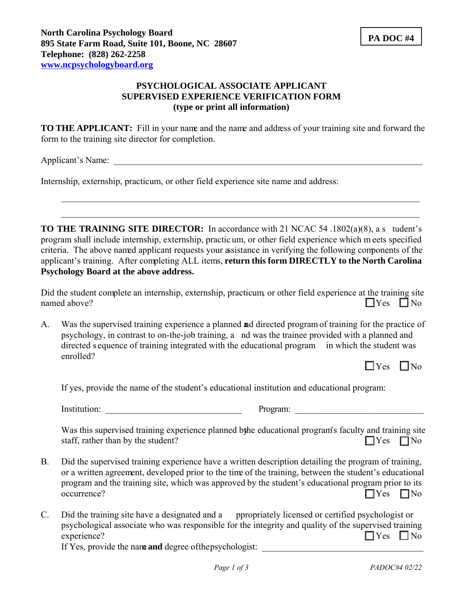## **PSYCHOLOGICAL ASSOCIATE APPLICANT SUPERVISED EXPERIENCE VERIFICATION FORM (type or print all information)**

**TO THE APPLICANT:** Fill in your name and the name and address of your training site and forward the form to the training site director for completion.

Applicant's Name: \_\_\_\_\_\_\_\_\_\_\_\_\_\_\_\_\_\_\_\_\_\_\_\_\_\_\_\_\_\_\_\_\_\_\_\_\_\_\_\_\_\_\_\_\_\_\_\_\_\_\_\_\_\_\_\_\_\_\_\_\_\_\_\_\_\_\_\_

Internship, externship, practicum, or other field experience site name and address:

**TO THE TRAINING SITE DIRECTOR:** In accordance with 21 NCAC 54 .1802(a)(8), a s tudent's program shall include internship, externship, practic um, or other field experience which m eets specified criteria. The above named applicant requests your assistance in verifying the following components of the applicant's training. After completing ALL items, **return this form DIRECTLY to the North Carolina Psychology Board at the above address.**

Did the student complete an internship, externship, practicum, or other field experience at the training site named above?  $\Box$  Yes  $\Box$  No

A. Was the supervised training experience a planned and directed program of training for the practice of psychology, in contrast to on-the-job training, a nd was the trainee provided with a planned and directed s equence of training integrated with the educational program in which the student was enrolled?

If yes, provide the name of the student's educational institution and educational program:

Institution: The example of the example of the example of the example of the example of the example of the example of the example of the example of the example of the example of the example of the example of the example of

Was this supervised training experience planned bthe educational program's faculty and training site staff, rather than by the student?  $\square$  Yes  $\square$  No

- B. Did the supervised training experience have a written description detailing the program of training, or a written agreement, developed prior to the time of the training, between the student's educational program and the training site, which was approved by the student's educational program prior to its  $\Box$  Yes  $\Box$  No
- C. Did the training site have a designated and a ppropriately licensed or certified psychologist or psychological associate who was responsible for the integrity and quality of the supervised training experience?  $\Box$  Yes  $\Box$  No

If Yes, provide the name **and** degree of the psychologist: \_\_\_\_\_\_\_\_\_\_\_\_\_\_\_\_\_\_\_\_\_\_\_\_\_\_\_\_\_\_\_\_\_\_\_\_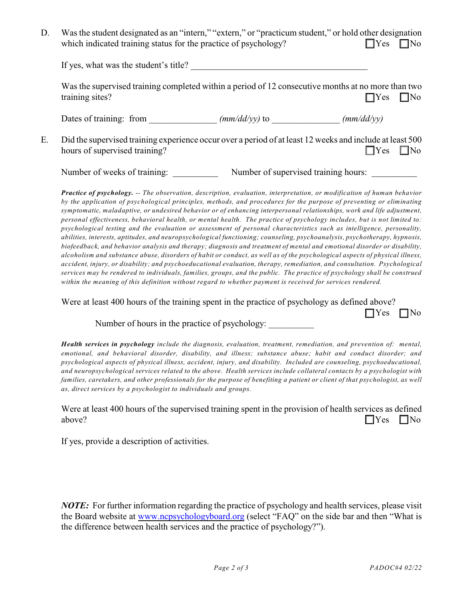| D. | Was the student designated as an "intern," "extern," or "practicum student," or hold other designation |                      |
|----|--------------------------------------------------------------------------------------------------------|----------------------|
|    | which indicated training status for the practice of psychology?                                        | $\Box$ Yes $\Box$ No |

If yes, what was the student's title?

Was the supervised training completed within a period of 12 consecutive months at no more than two training sites?  $\Box$  Yes  $\Box$  No

Dates of training: from  $\frac{mm}{dd/yy}$  to  $\frac{mm}{dd/yy}$ 

E. Did the supervised training experience occur over a period of at least 12 weeks and include at least 500 hours of supervised training?  $\Box$  Yes  $\Box$  No

Number of weeks of training:  $\blacksquare$  Number of supervised training hours:

*Practice of psychology. -- The observation, description, evaluation, interpretation, or modification of human behavior by the application of psychological principles, methods, and procedures for the purpose of preventing or eliminating symptomatic, maladaptive, or undesired behavior or of enhancing interpersonal relationships, work and life adjustment, personal effectiveness, behavioral health, or mental health. The practice of psychology includes, but is not limited to: psychological testing and the evaluation or assessment of personal characteristics such as intelligence, personality, abilities, interests, aptitudes, and neuropsychological functioning; counseling, psychoanalysis, psychotherapy, hypnosis, biofeedback, and behavior analysis and therapy; diagnosis and treatment of mental and emotional disorder or disability, alcoholism and substance abuse, disorders of habit or conduct, as well as of the psychological aspects of physical illness, accident, injury, or disability; and psychoeducational evaluation, therapy, remediation, and consultation. Psychological services may be rendered to individuals, families, groups, and the public. The practice of psychology shall be construed within the meaning of this definition without regard to whether payment is received for services rendered.*

Were at least 400 hours of the training spent in the practice of psychology as defined above?

Number of hours in the practice of psychology:

*Health services in psychology include the diagnosis, evaluation, treatment, remediation, and prevention of: mental, emotional, and behavioral disorder, disability, and illness; substance abuse; habit and conduct disorder; and psychological aspects of physical illness, accident, injury, and disability. Included are counseling, psychoeducational, and neuropsychological services related to the above. Health services include collateral contacts by a psychologist with families, caretakers, and other professionals for the purpose of benefiting a patient or client of that psychologist, as well as, direct services by a psychologist to individuals and groups.*

Were at least 400 hours of the supervised training spent in the provision of health services as defined  $\Box$  Yes  $\Box$  No

If yes, provide a description of activities.

*NOTE:* For further information regarding the practice of psychology and health services, please visit the Board website at [www.ncpsychologyboard.org](http://www.ncpsychologyboard.org) (select "FAQ" on the side bar and then "What is the difference between health services and the practice of psychology?").

 $\Box$ Yes  $\Box$ No